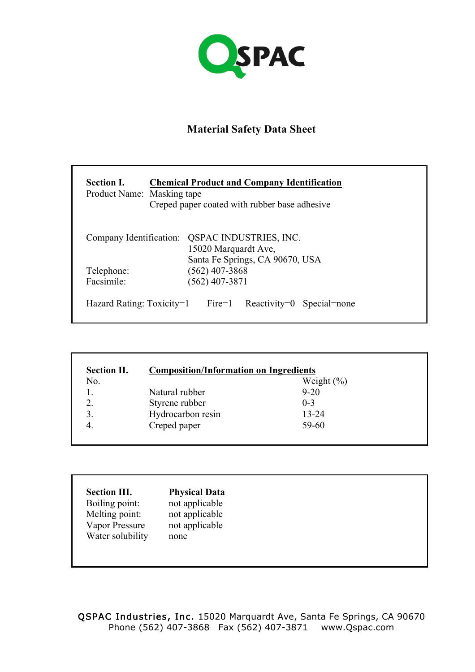

# **Material Safety Data Sheet**

| <b>Section I.</b><br>Product Name: Masking tape | <b>Chemical Product and Company Identification</b><br>Creped paper coated with rubber base adhesive       |
|-------------------------------------------------|-----------------------------------------------------------------------------------------------------------|
|                                                 | Company Identification: QSPAC INDUSTRIES, INC.<br>15020 Marquardt Ave,<br>Santa Fe Springs, CA 90670, USA |
| Telephone:                                      | $(562)$ 407-3868                                                                                          |
| Facsimile:                                      | $(562)$ 407-3871                                                                                          |
| Hazard Rating: Toxicity=1                       | $Reactivity=0$ Special=none<br>$Fire=1$                                                                   |

| <b>Section II.</b> | <b>Composition/Information on Ingredients</b> |                |  |
|--------------------|-----------------------------------------------|----------------|--|
| No.                |                                               | Weight $(\% )$ |  |
|                    | Natural rubber                                | $9 - 20$       |  |
|                    | Styrene rubber                                | $0 - 3$        |  |
|                    | Hydrocarbon resin                             | 13-24          |  |
|                    | Creped paper                                  | 59-60          |  |

| <b>Section III.</b> | <b>Physical Data</b> |
|---------------------|----------------------|
| Boiling point:      | not applicable       |
| Melting point:      | not applicable       |
| Vapor Pressure      | not applicable       |
| Water solubility    | none                 |

QSPAC Industries, Inc. 15020 Marquardt Ave, Santa Fe Springs, CA 90670 Phone (562) 407-3868 Fax (562) 407-3871 www.Qspac.com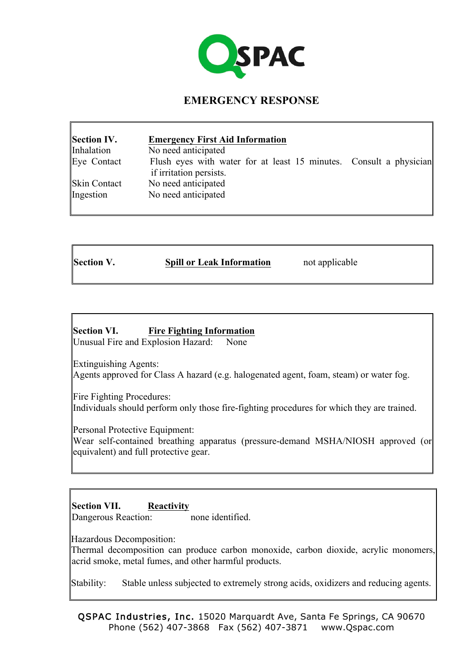

### **EMERGENCY RESPONSE**

# **Section IV. Emergency First Aid Information** Inhalation No need anticipated Eye Contact Flush eyes with water for at least 15 minutes. Consult a physician if irritation persists. Skin Contact No need anticipated Ingestion No need anticipated

**Section V. Spill or Leak Information** not applicable

### **Section VI. Fire Fighting Information**

Unusual Fire and Explosion Hazard: None

Extinguishing Agents: Agents approved for Class A hazard (e.g. halogenated agent, foam, steam) or water fog.

Fire Fighting Procedures: Individuals should perform only those fire-fighting procedures for which they are trained.

Personal Protective Equipment:

Wear self-contained breathing apparatus (pressure-demand MSHA/NIOSH approved (or equivalent) and full protective gear.

### **Section VII. Reactivity**

Dangerous Reaction: none identified.

Hazardous Decomposition:

Thermal decomposition can produce carbon monoxide, carbon dioxide, acrylic monomers, acrid smoke, metal fumes, and other harmful products.

Stability: Stable unless subjected to extremely strong acids, oxidizers and reducing agents.

QSPAC Industries, Inc. 15020 Marquardt Ave, Santa Fe Springs, CA 90670 Phone (562) 407-3868 Fax (562) 407-3871 www.Qspac.com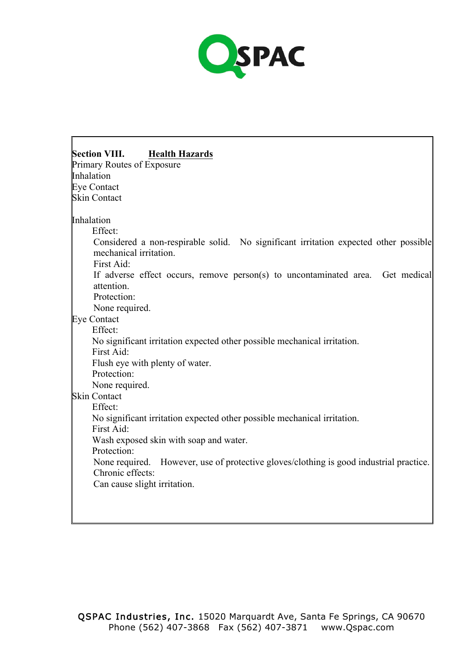

| <b>Section VIII.</b><br><b>Health Hazards</b><br>Primary Routes of Exposure                                                  |  |  |  |
|------------------------------------------------------------------------------------------------------------------------------|--|--|--|
| Inhalation                                                                                                                   |  |  |  |
|                                                                                                                              |  |  |  |
| <b>Eye Contact</b>                                                                                                           |  |  |  |
| <b>Skin Contact</b>                                                                                                          |  |  |  |
| Inhalation                                                                                                                   |  |  |  |
| Effect:                                                                                                                      |  |  |  |
| Considered a non-respirable solid. No significant irritation expected other possible<br>mechanical irritation.<br>First Aid: |  |  |  |
| If adverse effect occurs, remove person(s) to uncontaminated area. Get medical<br>attention.                                 |  |  |  |
| Protection:                                                                                                                  |  |  |  |
| None required.                                                                                                               |  |  |  |
| <b>Eye Contact</b>                                                                                                           |  |  |  |
| Effect:                                                                                                                      |  |  |  |
| No significant irritation expected other possible mechanical irritation.                                                     |  |  |  |
| First Aid:                                                                                                                   |  |  |  |
| Flush eye with plenty of water.                                                                                              |  |  |  |
| Protection:                                                                                                                  |  |  |  |
| None required.                                                                                                               |  |  |  |
| <b>Skin Contact</b>                                                                                                          |  |  |  |
| Effect:                                                                                                                      |  |  |  |
| No significant irritation expected other possible mechanical irritation.                                                     |  |  |  |
| First Aid:                                                                                                                   |  |  |  |
| Wash exposed skin with soap and water.                                                                                       |  |  |  |
| Protection:                                                                                                                  |  |  |  |
| None required.<br>However, use of protective gloves/clothing is good industrial practice.                                    |  |  |  |
| Chronic effects:                                                                                                             |  |  |  |
| Can cause slight irritation.                                                                                                 |  |  |  |
|                                                                                                                              |  |  |  |
|                                                                                                                              |  |  |  |
|                                                                                                                              |  |  |  |